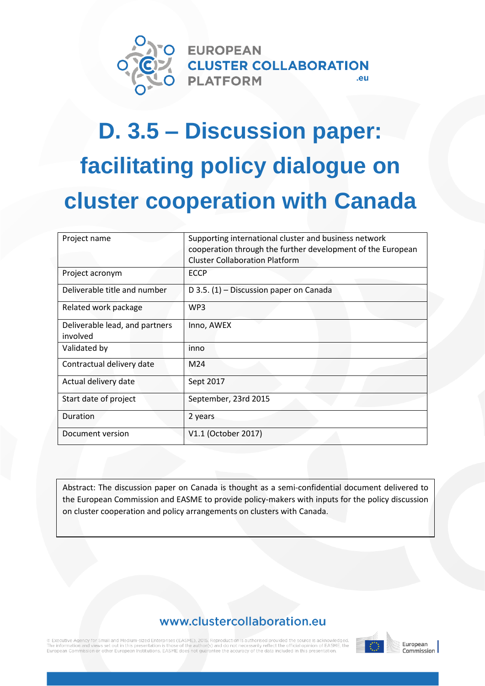

# **D. 3.5 – Discussion paper: facilitating policy dialogue on cluster cooperation with Canada**

| Project name                               | Supporting international cluster and business network<br>cooperation through the further development of the European<br><b>Cluster Collaboration Platform</b> |  |
|--------------------------------------------|---------------------------------------------------------------------------------------------------------------------------------------------------------------|--|
| Project acronym                            | <b>ECCP</b>                                                                                                                                                   |  |
| Deliverable title and number               | D 3.5. $(1)$ – Discussion paper on Canada                                                                                                                     |  |
| Related work package                       | WP3                                                                                                                                                           |  |
| Deliverable lead, and partners<br>involved | Inno, AWEX                                                                                                                                                    |  |
| Validated by                               | inno                                                                                                                                                          |  |
| Contractual delivery date                  | M24                                                                                                                                                           |  |
| Actual delivery date                       | Sept 2017                                                                                                                                                     |  |
| Start date of project                      | September, 23rd 2015                                                                                                                                          |  |
| Duration                                   | 2 years                                                                                                                                                       |  |
| Document version                           | V1.1 (October 2017)                                                                                                                                           |  |

Abstract: The discussion paper on Canada is thought as a semi-confidential document delivered to the European Commission and EASME to provide policy-makers with inputs for the policy discussion on cluster cooperation and policy arrangements on clusters with Canada.

# www.clustercollaboration.eu

information and views set out in this presentation is the arily reflect the official opinion of EASME, the mission or other European Institutions EASME reluded in this presentation



Commission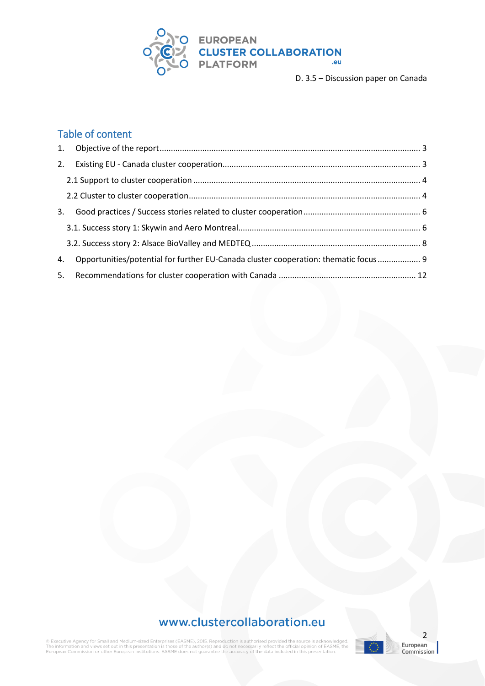

# Table of content

| 3. |                                                                                     |  |
|----|-------------------------------------------------------------------------------------|--|
|    |                                                                                     |  |
|    |                                                                                     |  |
| 4. | Opportunities/potential for further EU-Canada cluster cooperation: thematic focus 9 |  |
|    |                                                                                     |  |

# www.clustercollaboration.eu

 $\circledR$  Executive Agency for Small and Medium-sized Enterprises (EASME), 2015. Reproduction is authorised provided the source is acknowledged.<br>The information and views set out in this presentation is those of the author(s

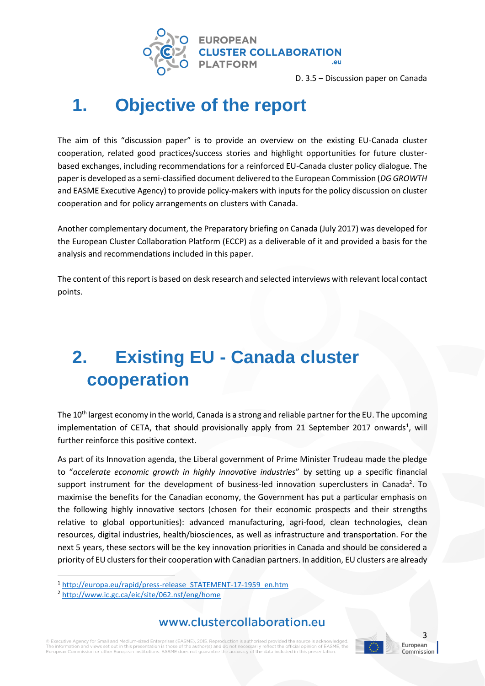

# <span id="page-2-0"></span>**1. Objective of the report**

The aim of this "discussion paper" is to provide an overview on the existing EU-Canada cluster cooperation, related good practices/success stories and highlight opportunities for future clusterbased exchanges, including recommendations for a reinforced EU-Canada cluster policy dialogue. The paper is developed as a semi-classified document delivered to the European Commission (*DG GROWTH*  and EASME Executive Agency) to provide policy-makers with inputs for the policy discussion on cluster cooperation and for policy arrangements on clusters with Canada.

Another complementary document, the Preparatory briefing on Canada (July 2017) was developed for the European Cluster Collaboration Platform (ECCP) as a deliverable of it and provided a basis for the analysis and recommendations included in this paper.

The content of this report is based on desk research and selected interviews with relevant local contact points.

# <span id="page-2-1"></span>**2. Existing EU - Canada cluster cooperation**

The 10<sup>th</sup> largest economy in the world, Canada is a strong and reliable partner for the EU. The upcoming implementation of CETA, that should provisionally apply from 21 September 2017 onwards<sup>1</sup>, will further reinforce this positive context.

As part of its Innovation agenda, the Liberal government of Prime Minister Trudeau made the pledge to "*accelerate economic growth in highly innovative industries*" by setting up a specific financial support instrument for the development of business-led innovation superclusters in Canada<sup>2</sup>. To maximise the benefits for the Canadian economy, the Government has put a particular emphasis on the following highly innovative sectors (chosen for their economic prospects and their strengths relative to global opportunities): advanced manufacturing, agri-food, clean technologies, clean resources, digital industries, health/biosciences, as well as infrastructure and transportation. For the next 5 years, these sectors will be the key innovation priorities in Canada and should be considered a priority of EU clusters for their cooperation with Canadian partners. In addition, EU clusters are already

**.** 

### www.clustercollaboration.eu

© Executive Agency for Small and Medium-sized Enterprises (EASME), 2015. Reproduction is authorised provided the source is acknowledd The information and views set out in this presentation is those of the author(s) and do not necessarily reflect the official opinion of EASME, the<br>European Commission or other European Institutions. EASME does not guarante



<sup>1</sup> [http://europa.eu/rapid/press-release\\_STATEMENT-17-1959\\_en.htm](http://europa.eu/rapid/press-release_STATEMENT-17-1959_en.htm)

<sup>2</sup> <http://www.ic.gc.ca/eic/site/062.nsf/eng/home>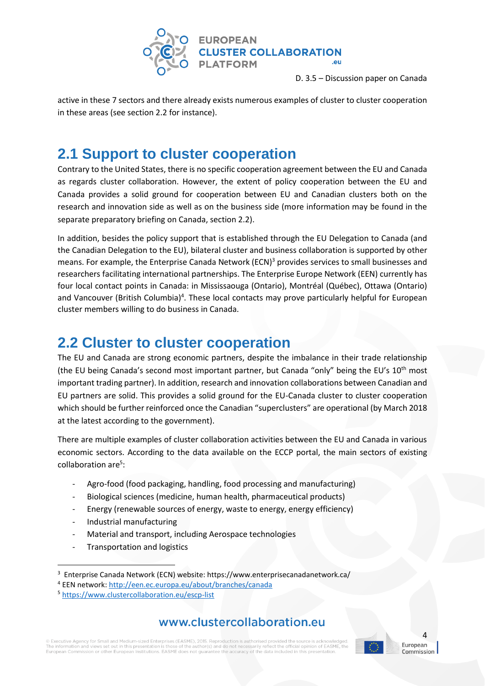

active in these 7 sectors and there already exists numerous examples of cluster to cluster cooperation in these areas (see section 2.2 for instance).

# <span id="page-3-0"></span>**2.1 Support to cluster cooperation**

Contrary to the United States, there is no specific cooperation agreement between the EU and Canada as regards cluster collaboration. However, the extent of policy cooperation between the EU and Canada provides a solid ground for cooperation between EU and Canadian clusters both on the research and innovation side as well as on the business side (more information may be found in the separate preparatory briefing on Canada, section 2.2).

In addition, besides the policy support that is established through the EU Delegation to Canada (and the Canadian Delegation to the EU), bilateral cluster and business collaboration is supported by other means. For example, the Enterprise Canada Network (ECN)<sup>3</sup> provides services to small businesses and researchers facilitating international partnerships. The Enterprise Europe Network (EEN) currently has four local contact points in Canada: in Mississaouga (Ontario), Montréal (Québec), Ottawa (Ontario) and Vancouver (British Columbia)<sup>4</sup>. These local contacts may prove particularly helpful for European cluster members willing to do business in Canada.

# <span id="page-3-1"></span>**2.2 Cluster to cluster cooperation**

The EU and Canada are strong economic partners, despite the imbalance in their trade relationship (the EU being Canada's second most important partner, but Canada "only" being the EU's  $10^{th}$  most important trading partner). In addition, research and innovation collaborations between Canadian and EU partners are solid. This provides a solid ground for the EU-Canada cluster to cluster cooperation which should be further reinforced once the Canadian "superclusters" are operational (by March 2018 at the latest according to the government).

There are multiple examples of cluster collaboration activities between the EU and Canada in various economic sectors. According to the data available on the ECCP portal, the main sectors of existing collaboration are<sup>5</sup>:

- Agro-food (food packaging, handling, food processing and manufacturing)
- Biological sciences (medicine, human health, pharmaceutical products)
- Energy (renewable sources of energy, waste to energy, energy efficiency)
- Industrial manufacturing

1

- Material and transport, including Aerospace technologies
- Transportation and logistics

# www.clustercollaboration.eu

© Executive Agency for Small and Medium-sized Enterprises (EASME), 2015. Reproduction is authorised provided the source is acknowledd The information and views set out in this presentation is those of the author(s) and do not necessarily reflect the official opinion of EASME, the<br>European Commission or other European Institutions. EASME does not guarante



4

<sup>3</sup> Enterprise Canada Network (ECN) website: https://www.enterprisecanadanetwork.ca/

<sup>4</sup> EEN network:<http://een.ec.europa.eu/about/branches/canada>

<sup>5</sup> <https://www.clustercollaboration.eu/escp-list>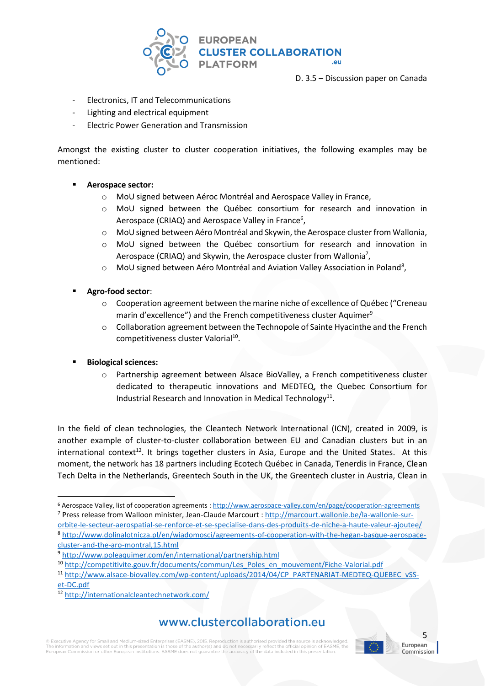

- Electronics, IT and Telecommunications
- Lighting and electrical equipment
- Electric Power Generation and Transmission

Amongst the existing cluster to cluster cooperation initiatives, the following examples may be mentioned:

#### ▪ **Aerospace sector:**

- o MoU signed between Aéroc Montréal and Aerospace Valley in France,
- o MoU signed between the Québec consortium for research and innovation in Aerospace (CRIAQ) and Aerospace Valley in France<sup>6</sup>,
- o MoU signed between Aéro Montréal and Skywin, the Aerospace cluster from Wallonia,
- o MoU signed between the Québec consortium for research and innovation in Aerospace (CRIAQ) and Skywin, the Aerospace cluster from Wallonia<sup>7</sup>,
- o MoU signed between Aéro Montréal and Aviation Valley Association in Poland<sup>8</sup>,
- Agro-food sector:
	- $\circ$  Cooperation agreement between the marine niche of excellence of Québec ("Creneau marin d'excellence") and the French competitiveness cluster Aquimer<sup>9</sup>
	- $\circ$  Collaboration agreement between the Technopole of Sainte Hyacinthe and the French competitiveness cluster Valorial<sup>10</sup>.

#### **Biological sciences:**

o Partnership agreement between Alsace BioValley, a French competitiveness cluster dedicated to therapeutic innovations and MEDTEQ, the Quebec Consortium for Industrial Research and Innovation in Medical Technology<sup>11</sup>.

In the field of clean technologies, the Cleantech Network International (ICN), created in 2009, is another example of cluster-to-cluster collaboration between EU and Canadian clusters but in an international context<sup>12</sup>. It brings together clusters in Asia, Europe and the United States. At this moment, the network has 18 partners including Ecotech Québec in Canada, Tenerdis in France, Clean Tech Delta in the Netherlands, Greentech South in the UK, the Greentech cluster in Austria, Clean in

**.** <sup>6</sup> Aerospace Valley, list of cooperation agreements [: http://www.aerospace-valley.com/en/page/cooperation-agreements](http://www.aerospace-valley.com/en/page/cooperation-agreements) <sup>7</sup> Press release from Walloon minister, Jean-Claude Marcourt [: http://marcourt.wallonie.be/la-wallonie-sur-](http://marcourt.wallonie.be/la-wallonie-sur-orbite-le-secteur-aerospatial-se-renforce-et-se-specialise-dans-des-produits-de-niche-a-haute-valeur-ajoutee/)

[orbite-le-secteur-aerospatial-se-renforce-et-se-specialise-dans-des-produits-de-niche-a-haute-valeur-ajoutee/](http://marcourt.wallonie.be/la-wallonie-sur-orbite-le-secteur-aerospatial-se-renforce-et-se-specialise-dans-des-produits-de-niche-a-haute-valeur-ajoutee/) <sup>8</sup> [http://www.dolinalotnicza.pl/en/wiadomosci/agreements-of-cooperation-with-the-hegan-basque-aerospace](http://www.dolinalotnicza.pl/en/wiadomosci/agreements-of-cooperation-with-the-hegan-basque-aerospace-cluster-and-the-aro-montral,15.html)[cluster-and-the-aro-montral,15.html](http://www.dolinalotnicza.pl/en/wiadomosci/agreements-of-cooperation-with-the-hegan-basque-aerospace-cluster-and-the-aro-montral,15.html)

# www.clustercollaboration.eu

© Executive Agency for Small and Medium-sized Enterprises (EASME), 2015. Reproduction is authorised provided the source is acknowledd The information and views set out in this presentation is those of the author(s) and do not necessarily reflect the official opinion of EASME, the<br>European Commission or other European Institutions. EASME does not guarante



<sup>9</sup> <http://www.poleaquimer.com/en/international/partnership.html>

<sup>&</sup>lt;sup>10</sup> [http://competitivite.gouv.fr/documents/commun/Les\\_Poles\\_en\\_mouvement/Fiche-Valorial.pdf](http://competitivite.gouv.fr/documents/commun/Les_Poles_en_mouvement/Fiche-Valorial.pdf)

<sup>11</sup> [http://www.alsace-biovalley.com/wp-content/uploads/2014/04/CP\\_PARTENARIAT-MEDTEQ-QUEBEC\\_vSS](http://www.alsace-biovalley.com/wp-content/uploads/2014/04/CP_PARTENARIAT-MEDTEQ-QUEBEC_vSS-et-DC.pdf)[et-DC.pdf](http://www.alsace-biovalley.com/wp-content/uploads/2014/04/CP_PARTENARIAT-MEDTEQ-QUEBEC_vSS-et-DC.pdf)

<sup>12</sup> <http://internationalcleantechnetwork.com/>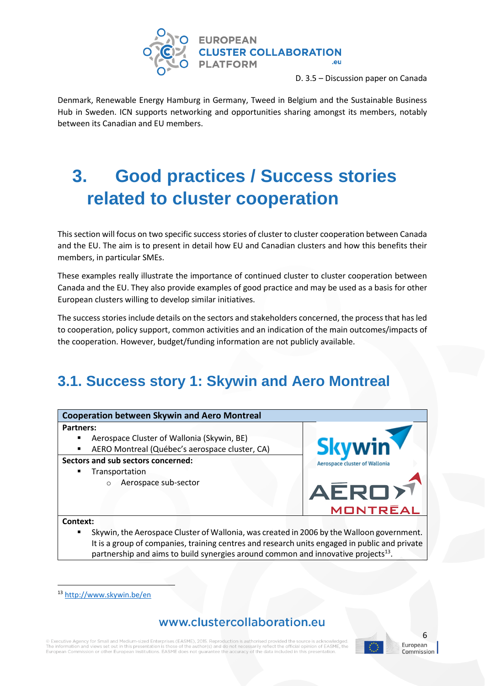

Denmark, Renewable Energy Hamburg in Germany, Tweed in Belgium and the Sustainable Business Hub in Sweden. ICN supports networking and opportunities sharing amongst its members, notably between its Canadian and EU members.

# <span id="page-5-0"></span>**3. Good practices / Success stories related to cluster cooperation**

This section will focus on two specific success stories of cluster to cluster cooperation between Canada and the EU. The aim is to present in detail how EU and Canadian clusters and how this benefits their members, in particular SMEs.

These examples really illustrate the importance of continued cluster to cluster cooperation between Canada and the EU. They also provide examples of good practice and may be used as a basis for other European clusters willing to develop similar initiatives.

The success stories include details on the sectors and stakeholders concerned, the process that has led to cooperation, policy support, common activities and an indication of the main outcomes/impacts of the cooperation. However, budget/funding information are not publicly available.

# <span id="page-5-1"></span>**3.1. Success story 1: Skywin and Aero Montreal**



partnership and aims to build synergies around common and innovative projects $^{13}$ .

 $\overline{a}$ 

# www.clustercollaboration.eu

© Executive Agency for Small and Medium-sized Enterprises (EASME), 2015. Reproduction is authorised provided the source is ackno The information and views set out in this presentation is those of the author(s) and do not necessarily reflect the official opinion of E<br>European Commission or other European Institutions. EASME does not guarantee the acc al opinion of EASME, the



<sup>13</sup> <http://www.skywin.be/en>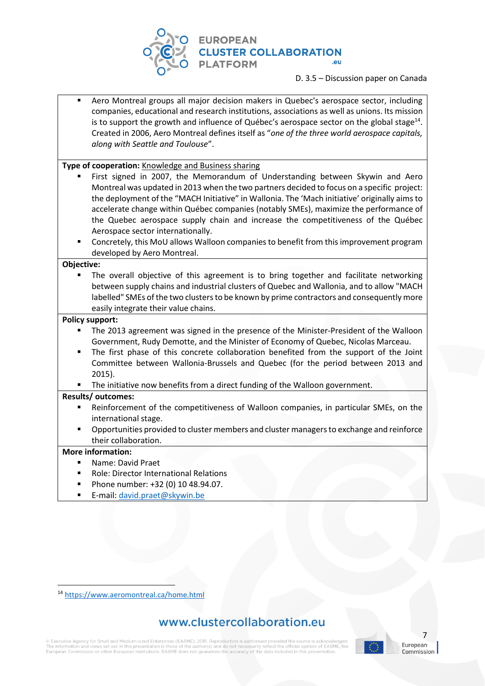

Aero Montreal groups all major decision makers in Quebec's aerospace sector, including companies, educational and research institutions, associations as well as unions. Its mission is to support the growth and influence of Québec's aerospace sector on the global stage<sup>14</sup>. Created in 2006, Aero Montreal defines itself as "*one of the three world aerospace capitals, along with Seattle and Toulouse*".

**Type of cooperation:** Knowledge and Business sharing

- First signed in 2007, the Memorandum of Understanding between Skywin and Aero Montreal was updated in 2013 when the two partners decided to focus on a specific project: the deployment of the "MACH Initiative" in Wallonia. The 'Mach initiative' originally aims to accelerate change within Québec companies (notably SMEs), maximize the performance of the Quebec aerospace supply chain and increase the competitiveness of the Québec Aerospace sector internationally.
- Concretely, this MoU allows Walloon companies to benefit from this improvement program developed by Aero Montreal.

**Objective:**

The overall objective of this agreement is to bring together and facilitate networking between supply chains and industrial clusters of Quebec and Wallonia, and to allow "MACH labelled" SMEs of the two clusters to be known by prime contractors and consequently more easily integrate their value chains.

#### **Policy support:**

- The 2013 agreement was signed in the presence of the Minister-President of the Walloon Government, Rudy Demotte, and the Minister of Economy of Quebec, Nicolas Marceau.
- The first phase of this concrete collaboration benefited from the support of the Joint Committee between Wallonia-Brussels and Quebec (for the period between 2013 and 2015).
- The initiative now benefits from a direct funding of the Walloon government.

#### **Results/ outcomes:**

- Reinforcement of the competitiveness of Walloon companies, in particular SMEs, on the international stage.
- Opportunities provided to cluster members and cluster managers to exchange and reinforce their collaboration.

#### **More information:**

 $\overline{a}$ 

- Name: David Praet
- **Role: Director International Relations**
- Phone number: +32 (0) 10 48.94.07.
- E-mail: [david.praet@skywin.be](mailto:david.praet@skywin.be)

# www.clustercollaboration.eu

© Executive Agency for Small and Medium-sized Enterprises (EASME), 2015. Reproduction is authorised provided the source is acki e the information and views set out in this presentation is those of the author(s) and do not necessarily reflect the official opinion of E<br>European Commission or other European Institutions. EASME does not guarantee the a al opinion of EASME, the



<sup>14</sup> <https://www.aeromontreal.ca/home.html>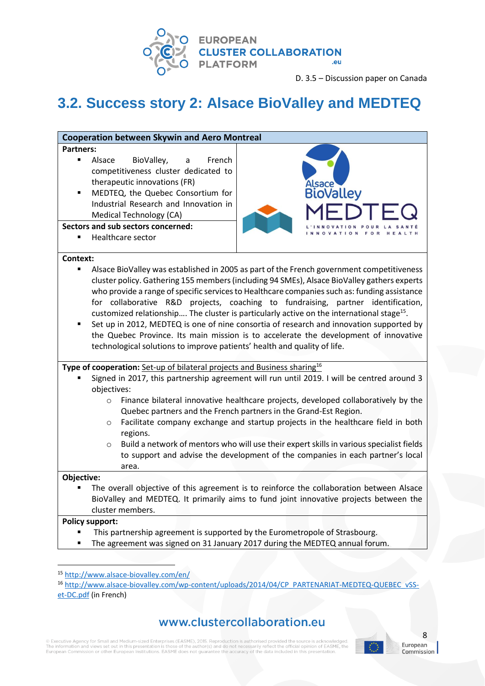

# <span id="page-7-0"></span>**3.2. Success story 2: Alsace BioValley and MEDTEQ**

| <b>Cooperation between Skywin and Aero Montreal</b>                                                                                                                                                                                                                                                                                                                                                                                                                                                                                                                                                                                                                                                                                                       |                                                                                                                                                                                                                                                                                                                                                                                                                                                                                                                        |  |  |  |
|-----------------------------------------------------------------------------------------------------------------------------------------------------------------------------------------------------------------------------------------------------------------------------------------------------------------------------------------------------------------------------------------------------------------------------------------------------------------------------------------------------------------------------------------------------------------------------------------------------------------------------------------------------------------------------------------------------------------------------------------------------------|------------------------------------------------------------------------------------------------------------------------------------------------------------------------------------------------------------------------------------------------------------------------------------------------------------------------------------------------------------------------------------------------------------------------------------------------------------------------------------------------------------------------|--|--|--|
| <b>Partners:</b>                                                                                                                                                                                                                                                                                                                                                                                                                                                                                                                                                                                                                                                                                                                                          |                                                                                                                                                                                                                                                                                                                                                                                                                                                                                                                        |  |  |  |
| BioValley,<br>Alsace<br>French<br>$\blacksquare$<br>a<br>competitiveness cluster dedicated to<br>therapeutic innovations (FR)<br>MEDTEQ, the Quebec Consortium for<br>Industrial Research and Innovation in<br><b>Medical Technology (CA)</b><br>Sectors and sub sectors concerned:                                                                                                                                                                                                                                                                                                                                                                                                                                                                       | Alsace<br>BioValley                                                                                                                                                                                                                                                                                                                                                                                                                                                                                                    |  |  |  |
| <b>Healthcare sector</b>                                                                                                                                                                                                                                                                                                                                                                                                                                                                                                                                                                                                                                                                                                                                  | FOR                                                                                                                                                                                                                                                                                                                                                                                                                                                                                                                    |  |  |  |
| Alsace BioValley was established in 2005 as part of the French government competitiveness<br>٠<br>cluster policy. Gathering 155 members (including 94 SMEs), Alsace BioValley gathers experts<br>who provide a range of specific services to Healthcare companies such as: funding assistance<br>for collaborative R&D projects, coaching to fundraising, partner identification,<br>customized relationship The cluster is particularly active on the international stage <sup>15</sup> .<br>Set up in 2012, MEDTEQ is one of nine consortia of research and innovation supported by<br>the Quebec Province. Its main mission is to accelerate the development of innovative<br>technological solutions to improve patients' health and quality of life. |                                                                                                                                                                                                                                                                                                                                                                                                                                                                                                                        |  |  |  |
| Type of cooperation: Set-up of bilateral projects and Business sharing <sup>16</sup><br>objectives:<br>$\circ$<br>$\circ$<br>regions.<br>$\circ$                                                                                                                                                                                                                                                                                                                                                                                                                                                                                                                                                                                                          | Signed in 2017, this partnership agreement will run until 2019. I will be centred around 3<br>Finance bilateral innovative healthcare projects, developed collaboratively by the<br>Quebec partners and the French partners in the Grand-Est Region.<br>Facilitate company exchange and startup projects in the healthcare field in both<br>Build a network of mentors who will use their expert skills in various specialist fields<br>to support and advise the development of the companies in each partner's local |  |  |  |
| area.<br>Objective:                                                                                                                                                                                                                                                                                                                                                                                                                                                                                                                                                                                                                                                                                                                                       |                                                                                                                                                                                                                                                                                                                                                                                                                                                                                                                        |  |  |  |
| cluster members.<br><b>Policy support:</b>                                                                                                                                                                                                                                                                                                                                                                                                                                                                                                                                                                                                                                                                                                                | The overall objective of this agreement is to reinforce the collaboration between Alsace<br>BioValley and MEDTEQ. It primarily aims to fund joint innovative projects between the                                                                                                                                                                                                                                                                                                                                      |  |  |  |

- This partnership agreement is supported by the Eurometropole of Strasbourg.
- The agreement was signed on 31 January 2017 during the MEDTEQ annual forum.

1

<sup>16</sup> [http://www.alsace-biovalley.com/wp-content/uploads/2014/04/CP\\_PARTENARIAT-MEDTEQ-QUEBEC\\_vSS](http://www.alsace-biovalley.com/wp-content/uploads/2014/04/CP_PARTENARIAT-MEDTEQ-QUEBEC_vSS-et-DC.pdf)[et-DC.pdf](http://www.alsace-biovalley.com/wp-content/uploads/2014/04/CP_PARTENARIAT-MEDTEQ-QUEBEC_vSS-et-DC.pdf) (in French)

# www.clustercollaboration.eu

 $\circledR$  Executive Agency for Small and Medium-sized Enterprises (EASME), 2015. Reproduction is authorised provided the source is acknowledged.<br>The information and views set out in this presentation is those of the author(s



8

<sup>15</sup> <http://www.alsace-biovalley.com/en/>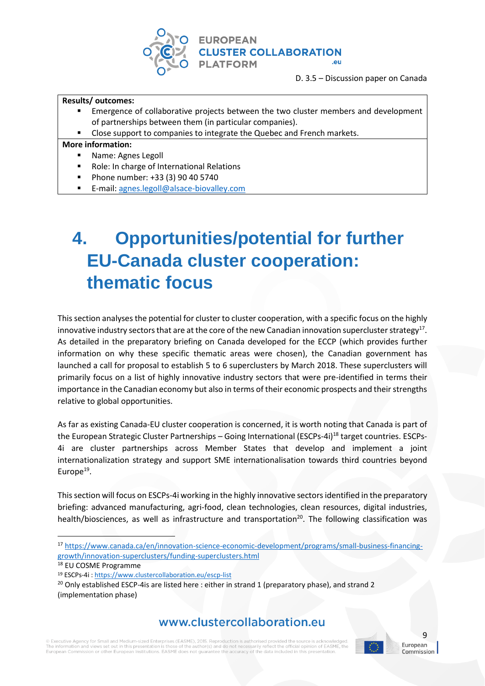

#### **Results/ outcomes:**

- Emergence of collaborative projects between the two cluster members and development of partnerships between them (in particular companies).
- Close support to companies to integrate the Quebec and French markets.

#### **More information:**

- Name: Agnes Legoll
- Role: In charge of International Relations
- Phone number: +33 (3) 90 40 5740
- E-mail: [agnes.legoll@alsace-biovalley.com](mailto:agnes.legoll@alsace-biovalley.com)

# <span id="page-8-0"></span>**4. Opportunities/potential for further EU-Canada cluster cooperation: thematic focus**

This section analyses the potential for cluster to cluster cooperation, with a specific focus on the highly innovative industry sectors that are at the core of the new Canadian innovation supercluster strategy<sup>17</sup>. As detailed in the preparatory briefing on Canada developed for the ECCP (which provides further information on why these specific thematic areas were chosen), the Canadian government has launched a call for proposal to establish 5 to 6 superclusters by March 2018. These superclusters will primarily focus on a list of highly innovative industry sectors that were pre-identified in terms their importance in the Canadian economy but also in terms of their economic prospects and their strengths relative to global opportunities.

As far as existing Canada-EU cluster cooperation is concerned, it is worth noting that Canada is part of the European Strategic Cluster Partnerships – Going International (ESCPs-4i)<sup>18</sup> target countries. ESCPs-4i are cluster partnerships across Member States that develop and implement a joint internationalization strategy and support SME internationalisation towards third countries beyond Europe<sup>19</sup>.

This section will focus on ESCPs-4i working in the highly innovative sectors identified in the preparatory briefing: advanced manufacturing, agri-food, clean technologies, clean resources, digital industries, health/biosciences, as well as infrastructure and transportation<sup>20</sup>. The following classification was

**.** 

### www.clustercollaboration.eu

© Executive Agency for Small and Medium-sized Enterprises (EASME), 2015. Reproduction is authorised provided the source is acknowledd The information and views set out in this presentation is those of the author(s) and do not necessarily reflect the official opinion of EASME, the<br>European Commission or other European Institutions. EASME does not guarante



9 European

<sup>17</sup> [https://www.canada.ca/en/innovation-science-economic-development/programs/small-business-financing](https://www.canada.ca/en/innovation-science-economic-development/programs/small-business-financing-growth/innovation-superclusters/funding-superclusters.html)[growth/innovation-superclusters/funding-superclusters.html](https://www.canada.ca/en/innovation-science-economic-development/programs/small-business-financing-growth/innovation-superclusters/funding-superclusters.html)

<sup>18</sup> EU COSME Programme

<sup>19</sup> ESCPs-4i [: https://www.clustercollaboration.eu/escp-list](https://www.clustercollaboration.eu/escp-list)

 $20$  Only established ESCP-4is are listed here : either in strand 1 (preparatory phase), and strand 2 (implementation phase)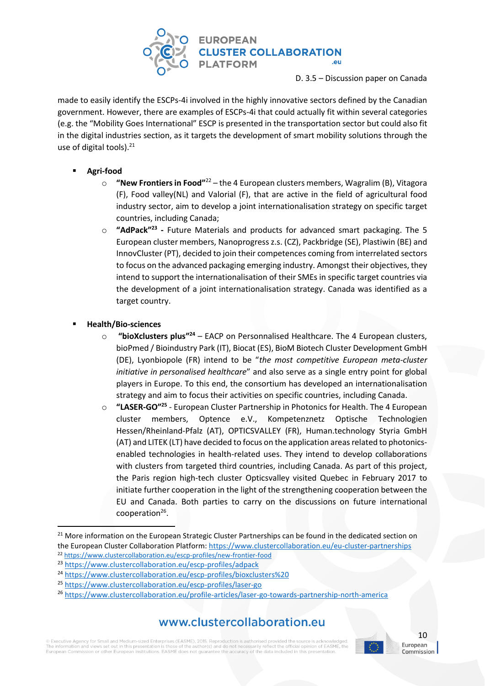

made to easily identify the ESCPs-4i involved in the highly innovative sectors defined by the Canadian government. However, there are examples of ESCPs-4i that could actually fit within several categories (e.g. the "Mobility Goes International" ESCP is presented in the transportation sector but could also fit in the digital industries section, as it targets the development of smart mobility solutions through the use of digital tools). $21$ 

- **Agri-food**
	- o **"New Frontiers in Food"**<sup>22</sup> the 4 European clusters members, Wagralim (B), Vitagora (F), Food valley(NL) and Valorial (F), that are active in the field of agricultural food industry sector, aim to develop a joint internationalisation strategy on specific target countries, including Canada;
	- o **"AdPack" 23 -** Future Materials and products for advanced smart packaging. The 5 European cluster members, Nanoprogress z.s. (CZ), Packbridge (SE), Plastiwin (BE) and InnovCluster (PT), decided to join their competences coming from interrelated sectors to focus on the advanced packaging emerging industry. Amongst their objectives, they intend to support the internationalisation of their SMEs in specific target countries via the development of a joint internationalisation strategy. Canada was identified as a target country.
- **Health/Bio-sciences**

1

- o **"bioXclusters plus" <sup>24</sup>** EACP on Personnalised Healthcare. The 4 European clusters, bioPmed / Bioindustry Park (IT), Biocat (ES), BioM Biotech Cluster Development GmbH (DE), Lyonbiopole (FR) intend to be "*the most competitive European meta-cluster initiative in personalised healthcare*" and also serve as a single entry point for global players in Europe. To this end, the consortium has developed an internationalisation strategy and aim to focus their activities on specific countries, including Canada.
- o **"LASER-GO"<sup>25</sup>** European Cluster Partnership in Photonics for Health. The 4 European cluster members, Optence e.V., Kompetenznetz Optische Technologien Hessen/Rheinland-Pfalz (AT), OPTICSVALLEY (FR), Human.technology Styria GmbH (AT) and LITEK (LT) have decided to focus on the application areas related to photonicsenabled technologies in health-related uses. They intend to develop collaborations with clusters from targeted third countries, including Canada. As part of this project, the Paris region high-tech cluster Opticsvalley visited Quebec in February 2017 to initiate further cooperation in the light of the strengthening cooperation between the EU and Canada. Both parties to carry on the discussions on future international cooperation<sup>26</sup>.

# www.clustercollaboration.eu

© Executive Agency for Small and Medium-sized Enterprises (EASME), 2015. Reproduction is authorised provided the source is acknowledged The information and views set out in this presentation is those of the author(s) and do not necessarily reflect the official opinion of EASME, the<br>European Commission or other European Institutions. EASME does not guarante



<sup>&</sup>lt;sup>21</sup> More information on the European Strategic Cluster Partnerships can be found in the dedicated section on the European Cluster Collaboration Platform[: https://www.clustercollaboration.eu/eu-cluster-partnerships](https://www.clustercollaboration.eu/eu-cluster-partnerships) <sup>22</sup> <https://www.clustercollaboration.eu/escp-profiles/new-frontier-food>

<sup>23</sup> <https://www.clustercollaboration.eu/escp-profiles/adpack>

<sup>24</sup> [https://www.clustercollaboration.eu/escp-profiles/bioxclusters%20](https://www.clustercollaboration.eu/escp-profiles/bioxclusters)

<sup>25</sup> <https://www.clustercollaboration.eu/escp-profiles/laser-go>

<sup>26</sup> <https://www.clustercollaboration.eu/profile-articles/laser-go-towards-partnership-north-america>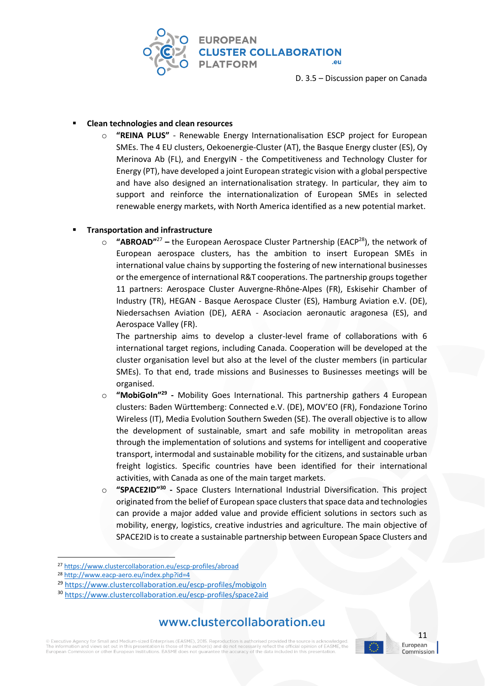

#### ▪ **Clean technologies and clean resources**

o **"REINA PLUS"** - Renewable Energy Internationalisation ESCP project for European SMEs. The 4 EU clusters, Oekoenergie-Cluster (AT), the Basque Energy cluster (ES), Oy Merinova Ab (FL), and EnergyIN - the Competitiveness and Technology Cluster for Energy (PT), have developed a joint European strategic vision with a global perspective and have also designed an internationalisation strategy. In particular, they aim to support and reinforce the internationalization of European SMEs in selected renewable energy markets, with North America identified as a new potential market.

#### ▪ **Transportation and infrastructure**

o **"ABROAD"**<sup>27</sup> **–** the European Aerospace Cluster Partnership (EACP<sup>28</sup>), the network of European aerospace clusters, has the ambition to insert European SMEs in international value chains by supporting the fostering of new international businesses or the emergence of international R&T cooperations. The partnership groups together 11 partners: Aerospace Cluster Auvergne-Rhône-Alpes (FR), Eskisehir Chamber of Industry (TR), HEGAN - Basque Aerospace Cluster (ES), Hamburg Aviation e.V. (DE), Niedersachsen Aviation (DE), AERA - Asociacion aeronautic aragonesa (ES), and Aerospace Valley (FR).

The partnership aims to develop a cluster-level frame of collaborations with 6 international target regions, including Canada. Cooperation will be developed at the cluster organisation level but also at the level of the cluster members (in particular SMEs). To that end, trade missions and Businesses to Businesses meetings will be organised.

- $\circ$  "MobiGoIn"<sup>29</sup> Mobility Goes International. This partnership gathers 4 European clusters: Baden Württemberg: Connected e.V. (DE), MOV'EO (FR), Fondazione Torino Wireless (IT), Media Evolution Southern Sweden (SE). The overall objective is to allow the development of sustainable, smart and safe mobility in metropolitan areas through the implementation of solutions and systems for intelligent and cooperative transport, intermodal and sustainable mobility for the citizens, and sustainable urban freight logistics. Specific countries have been identified for their international activities, with Canada as one of the main target markets.
- o **"SPACE2ID"<sup>30</sup> -** Space Clusters International Industrial Diversification. This project originated from the belief of European space clusters that space data and technologies can provide a major added value and provide efficient solutions in sectors such as mobility, energy, logistics, creative industries and agriculture. The main objective of SPACE2ID is to create a sustainable partnership between European Space Clusters and

1

### www.clustercollaboration.eu

© Executive Agency for Small and Medium-sized Enterprises (EASME), 2015. Reproduction is authorised provided the source is acknowledd The information and views set out in this presentation is those of the author(s) and do not necessarily reflect the official opinion of EASME, the<br>European Commission or other European Institutions. EASME does not guarante



<sup>27</sup> <https://www.clustercollaboration.eu/escp-profiles/abroad>

<sup>28</sup> <http://www.eacp-aero.eu/index.php?id=4>

<sup>29</sup> <https://www.clustercollaboration.eu/escp-profiles/mobigoln>

<sup>30</sup> <https://www.clustercollaboration.eu/escp-profiles/space2aid>